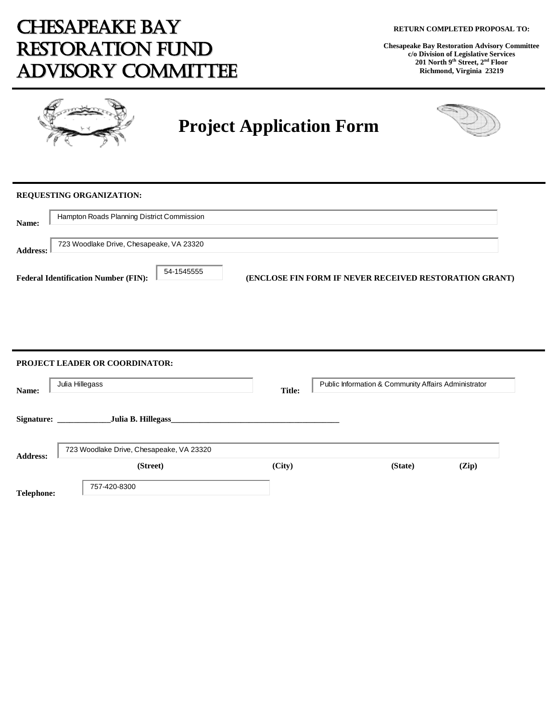# CHESAPEAKE BAY RESTORATION FUND ADVISORY COMMITTEE

**Chesapeake Bay Restoration Advisory Committee c/o Division of Legislative Services 201 North 9th Street, 2nd Floor Richmond, Virginia 23219**



# **Project Application Form**



### **REQUESTING ORGANIZATION:**

| Name:           | Hampton Roads Planning District Commission                |                                                               |  |
|-----------------|-----------------------------------------------------------|---------------------------------------------------------------|--|
| <b>Address:</b> | 723 Woodlake Drive, Chesapeake, VA 23320                  |                                                               |  |
|                 | 54-1545555<br><b>Federal Identification Number (FIN):</b> | <b>(ENCLOSE FIN FORM IF NEVER RECEIVED RESTORATION GRANT)</b> |  |

| Name:           | Julia Hillegass                            | <b>Title:</b> | Public Information & Community Affairs Administrator |
|-----------------|--------------------------------------------|---------------|------------------------------------------------------|
|                 | Signature: _________<br>Julia B. Hillegass |               |                                                      |
|                 |                                            |               |                                                      |
|                 | 723 Woodlake Drive, Chesapeake, VA 23320   |               |                                                      |
| <b>Address:</b> | (Street)                                   | (City)        | (Zip)<br>(State)                                     |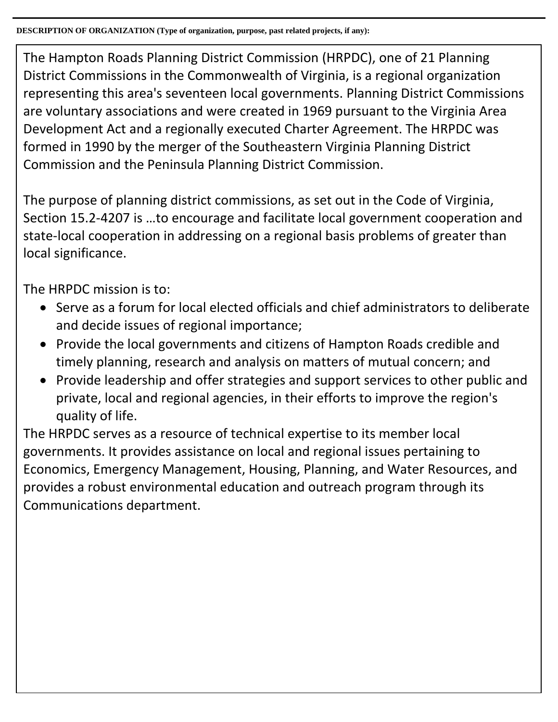The Hampton Roads Planning District Commission (HRPDC), one of 21 Planning District Commissions in the Commonwealth of Virginia, is a regional organization representing this area's seventeen local governments. Planning District Commissions are voluntary associations and were created in 1969 pursuant to the Virginia Area Development Act and a regionally executed Charter Agreement. The HRPDC was formed in 1990 by the merger of the Southeastern Virginia Planning District Commission and the Peninsula Planning District Commission.

The purpose of planning district commissions, as set out in the Code of Virginia, Section 15.2-4207 is …to encourage and facilitate local government cooperation and state-local cooperation in addressing on a regional basis problems of greater than local significance.

The HRPDC mission is to:

- Serve as a forum for local elected officials and chief administrators to deliberate and decide issues of regional importance;
- Provide the local governments and citizens of Hampton Roads credible and timely planning, research and analysis on matters of mutual concern; and
- Provide leadership and offer strategies and support services to other public and private, local and regional agencies, in their efforts to improve the region's quality of life.

The HRPDC serves as a resource of technical expertise to its member local governments. It provides assistance on local and regional issues pertaining to Economics, Emergency Management, Housing, Planning, and Water Resources, and provides a robust environmental education and outreach program through its Communications department.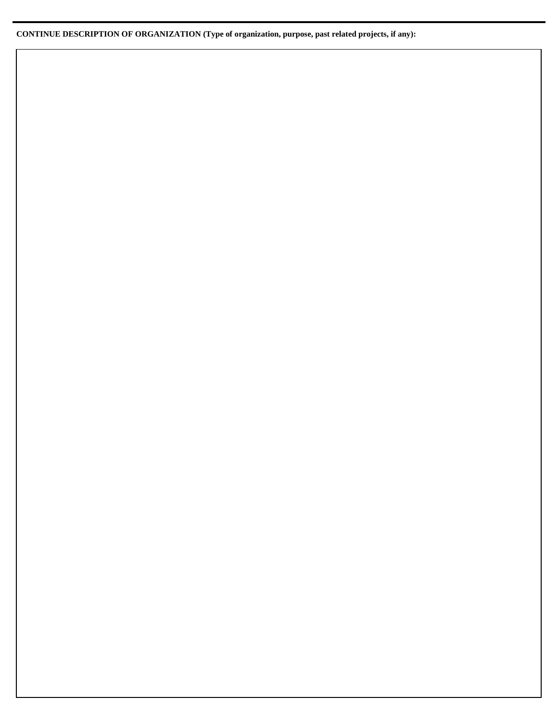### **CONTINUE DESCRIPTION OF ORGANIZATION (Type of organization, purpose, past related projects, if any):**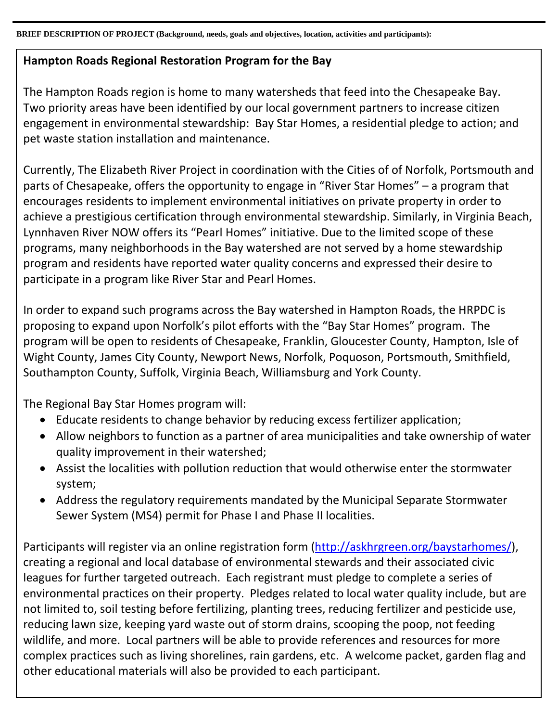**BRIEF DESCRIPTION OF PROJECT (Background, needs, goals and objectives, location, activities and participants):**

## **Hampton Roads Regional Restoration Program for the Bay**

The Hampton Roads region is home to many watersheds that feed into the Chesapeake Bay. Two priority areas have been identified by our local government partners to increase citizen engagement in environmental stewardship: Bay Star Homes, a residential pledge to action; and pet waste station installation and maintenance.

Currently, The Elizabeth River Project in coordination with the Cities of of Norfolk, Portsmouth and parts of Chesapeake, offers the opportunity to engage in "River Star Homes" – a program that encourages residents to implement environmental initiatives on private property in order to achieve a prestigious certification through environmental stewardship. Similarly, in Virginia Beach, Lynnhaven River NOW offers its "Pearl Homes" initiative. Due to the limited scope of these programs, many neighborhoods in the Bay watershed are not served by a home stewardship program and residents have reported water quality concerns and expressed their desire to participate in a program like River Star and Pearl Homes.

In order to expand such programs across the Bay watershed in Hampton Roads, the HRPDC is proposing to expand upon Norfolk's pilot efforts with the "Bay Star Homes" program. The program will be open to residents of Chesapeake, Franklin, Gloucester County, Hampton, Isle of Wight County, James City County, Newport News, Norfolk, Poquoson, Portsmouth, Smithfield, Southampton County, Suffolk, Virginia Beach, Williamsburg and York County.

The Regional Bay Star Homes program will:

- Educate residents to change behavior by reducing excess fertilizer application;
- Allow neighbors to function as a partner of area municipalities and take ownership of water quality improvement in their watershed;
- Assist the localities with pollution reduction that would otherwise enter the stormwater system;
- Address the regulatory requirements mandated by the Municipal Separate Stormwater Sewer System (MS4) permit for Phase I and Phase II localities.

Participants will register via an online registration form [\(http://askhrgreen.org/baystarhomes/\)](http://askhrgreen.org/baystarhomes/), creating a regional and local database of environmental stewards and their associated civic leagues for further targeted outreach. Each registrant must pledge to complete a series of environmental practices on their property. Pledges related to local water quality include, but are not limited to, soil testing before fertilizing, planting trees, reducing fertilizer and pesticide use, reducing lawn size, keeping yard waste out of storm drains, scooping the poop, not feeding wildlife, and more. Local partners will be able to provide references and resources for more complex practices such as living shorelines, rain gardens, etc. A welcome packet, garden flag and other educational materials will also be provided to each participant.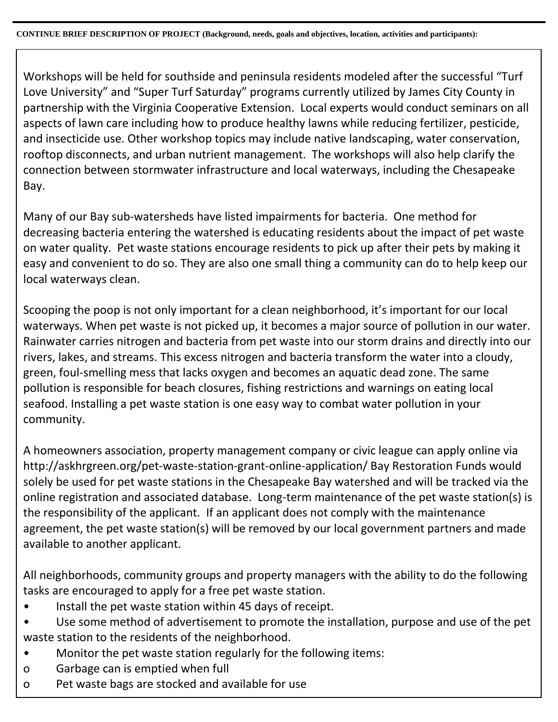Workshops will be held for southside and peninsula residents modeled after the successful "Turf Love University" and "Super Turf Saturday" programs currently utilized by James City County in partnership with the Virginia Cooperative Extension. Local experts would conduct seminars on all aspects of lawn care including how to produce healthy lawns while reducing fertilizer, pesticide, and insecticide use. Other workshop topics may include native landscaping, water conservation, rooftop disconnects, and urban nutrient management. The workshops will also help clarify the connection between stormwater infrastructure and local waterways, including the Chesapeake Bay.

Many of our Bay sub-watersheds have listed impairments for bacteria. One method for decreasing bacteria entering the watershed is educating residents about the impact of pet waste on water quality. Pet waste stations encourage residents to pick up after their pets by making it easy and convenient to do so. They are also one small thing a community can do to help keep our local waterways clean.

Scooping the poop is not only important for a clean neighborhood, it's important for our local waterways. When pet waste is not picked up, it becomes a major source of pollution in our water. Rainwater carries nitrogen and bacteria from pet waste into our storm drains and directly into our rivers, lakes, and streams. This excess nitrogen and bacteria transform the water into a cloudy, green, foul-smelling mess that lacks oxygen and becomes an aquatic dead zone. The same pollution is responsible for beach closures, fishing restrictions and warnings on eating local seafood. Installing a pet waste station is one easy way to combat water pollution in your community.

A homeowners association, property management company or civic league can apply online via http://askhrgreen.org/pet-waste-station-grant-online-application/ Bay Restoration Funds would solely be used for pet waste stations in the Chesapeake Bay watershed and will be tracked via the online registration and associated database. Long-term maintenance of the pet waste station(s) is the responsibility of the applicant. If an applicant does not comply with the maintenance agreement, the pet waste station(s) will be removed by our local government partners and made available to another applicant.

All neighborhoods, community groups and property managers with the ability to do the following tasks are encouraged to apply for a free pet waste station.

- Install the pet waste station within 45 days of receipt.
- Use some method of advertisement to promote the installation, purpose and use of the pet waste station to the residents of the neighborhood.
- Monitor the pet waste station regularly for the following items:
- o Garbage can is emptied when full
- o Pet waste bags are stocked and available for use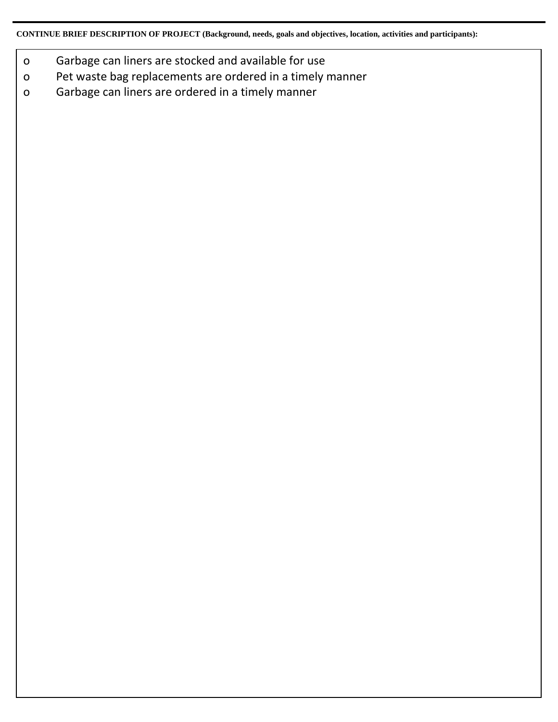**CONTINUE BRIEF DESCRIPTION OF PROJECT (Background, needs, goals and objectives, location, activities and participants):**

- o Garbage can liners are stocked and available for use
- o Pet waste bag replacements are ordered in a timely manner
- o Garbage can liners are ordered in a timely manner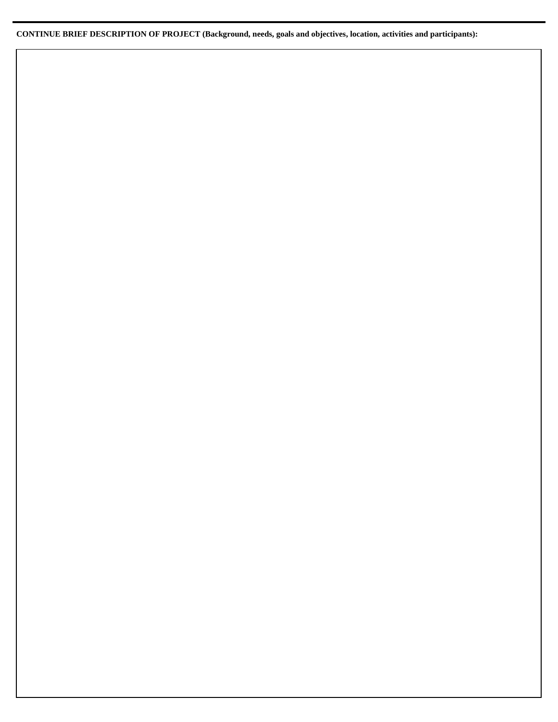**CONTINUE BRIEF DESCRIPTION OF PROJECT (Background, needs, goals and objectives, location, activities and participants):**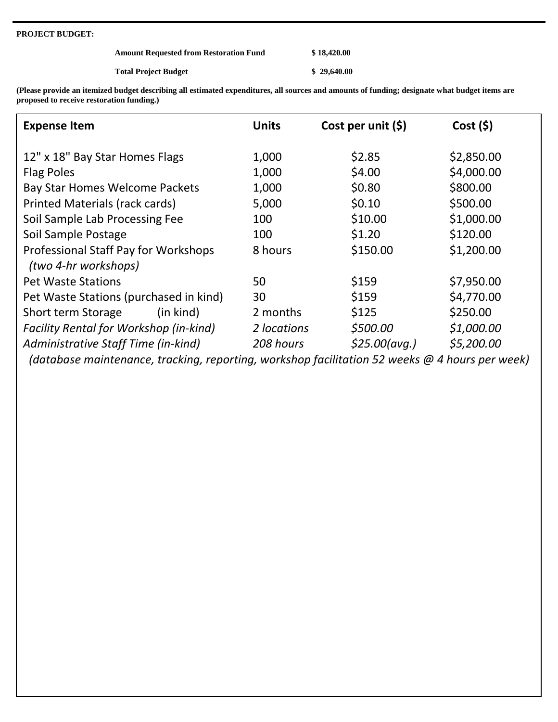#### **PROJECT BUDGET:**

| <b>Amount Requested from Restoration Fund</b> | \$18,420.00 |
|-----------------------------------------------|-------------|
| <b>Total Project Budget</b>                   | \$29,640.00 |

**(Please provide an itemized budget describing all estimated expenditures, all sources and amounts of funding; designate what budget items are proposed to receive restoration funding.)**

| <b>Expense Item</b>                                          | <b>Units</b> | Cost per unit $(\xi)$ | Cost(5)    |
|--------------------------------------------------------------|--------------|-----------------------|------------|
| 12" x 18" Bay Star Homes Flags                               | 1,000        | \$2.85                | \$2,850.00 |
| <b>Flag Poles</b>                                            | 1,000        | \$4.00                | \$4,000.00 |
| Bay Star Homes Welcome Packets                               | 1,000        | \$0.80                | \$800.00   |
| Printed Materials (rack cards)                               | 5,000        | \$0.10                | \$500.00   |
| Soil Sample Lab Processing Fee                               | 100          | \$10.00               | \$1,000.00 |
| Soil Sample Postage                                          | 100          | \$1.20                | \$120.00   |
| Professional Staff Pay for Workshops<br>(two 4-hr workshops) | 8 hours      | \$150.00              | \$1,200.00 |
| <b>Pet Waste Stations</b>                                    | 50           | \$159                 | \$7,950.00 |
| Pet Waste Stations (purchased in kind)                       | 30           | \$159                 | \$4,770.00 |
| Short term Storage<br>(in kind)                              | 2 months     | \$125                 | \$250.00   |
| <b>Facility Rental for Workshop (in-kind)</b>                | 2 locations  | \$500.00              | \$1,000.00 |
| Administrative Staff Time (in-kind)                          | 208 hours    | \$25.00 (avg.)        | \$5,200.00 |

 *(database maintenance, tracking, reporting, workshop facilitation 52 weeks @ 4 hours per week)*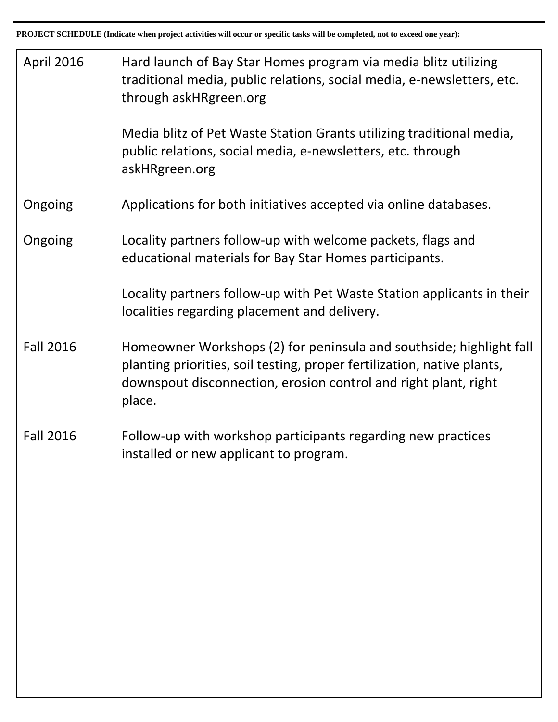| <b>April 2016</b> | Hard launch of Bay Star Homes program via media blitz utilizing<br>traditional media, public relations, social media, e-newsletters, etc.<br>through askHRgreen.org                                                         |
|-------------------|-----------------------------------------------------------------------------------------------------------------------------------------------------------------------------------------------------------------------------|
|                   | Media blitz of Pet Waste Station Grants utilizing traditional media,<br>public relations, social media, e-newsletters, etc. through<br>askHRgreen.org                                                                       |
| Ongoing           | Applications for both initiatives accepted via online databases.                                                                                                                                                            |
| Ongoing           | Locality partners follow-up with welcome packets, flags and<br>educational materials for Bay Star Homes participants.                                                                                                       |
|                   | Locality partners follow-up with Pet Waste Station applicants in their<br>localities regarding placement and delivery.                                                                                                      |
| <b>Fall 2016</b>  | Homeowner Workshops (2) for peninsula and southside; highlight fall<br>planting priorities, soil testing, proper fertilization, native plants,<br>downspout disconnection, erosion control and right plant, right<br>place. |
| <b>Fall 2016</b>  | Follow-up with workshop participants regarding new practices<br>installed or new applicant to program.                                                                                                                      |
|                   |                                                                                                                                                                                                                             |
|                   |                                                                                                                                                                                                                             |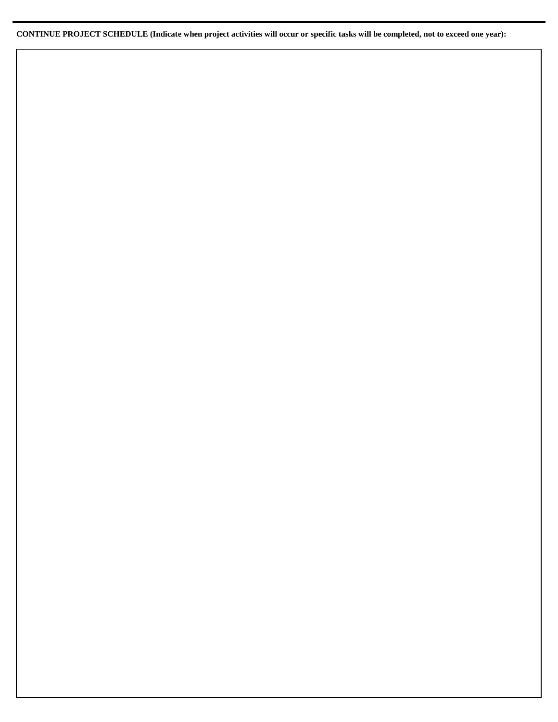**CONTINUE PROJECT SCHEDULE (Indicate when project activities will occur or specific tasks will be completed, not to exceed one year):**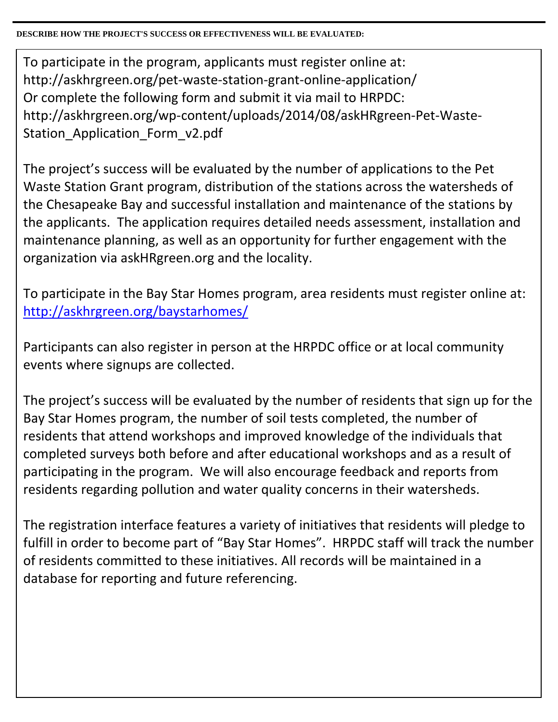**DESCRIBE HOW THE PROJECT'S SUCCESS OR EFFECTIVENESS WILL BE EVALUATED:**

To participate in the program, applicants must register online at: http://askhrgreen.org/pet-waste-station-grant-online-application/ Or complete the following form and submit it via mail to HRPDC: http://askhrgreen.org/wp-content/uploads/2014/08/askHRgreen-Pet-Waste-Station Application Form v2.pdf

The project's success will be evaluated by the number of applications to the Pet Waste Station Grant program, distribution of the stations across the watersheds of the Chesapeake Bay and successful installation and maintenance of the stations by the applicants. The application requires detailed needs assessment, installation and maintenance planning, as well as an opportunity for further engagement with the organization via askHRgreen.org and the locality.

To participate in the Bay Star Homes program, area residents must register online at: <http://askhrgreen.org/baystarhomes/>

Participants can also register in person at the HRPDC office or at local community events where signups are collected.

The project's success will be evaluated by the number of residents that sign up for the Bay Star Homes program, the number of soil tests completed, the number of residents that attend workshops and improved knowledge of the individuals that completed surveys both before and after educational workshops and as a result of participating in the program. We will also encourage feedback and reports from residents regarding pollution and water quality concerns in their watersheds.

The registration interface features a variety of initiatives that residents will pledge to fulfill in order to become part of "Bay Star Homes". HRPDC staff will track the number of residents committed to these initiatives. All records will be maintained in a database for reporting and future referencing.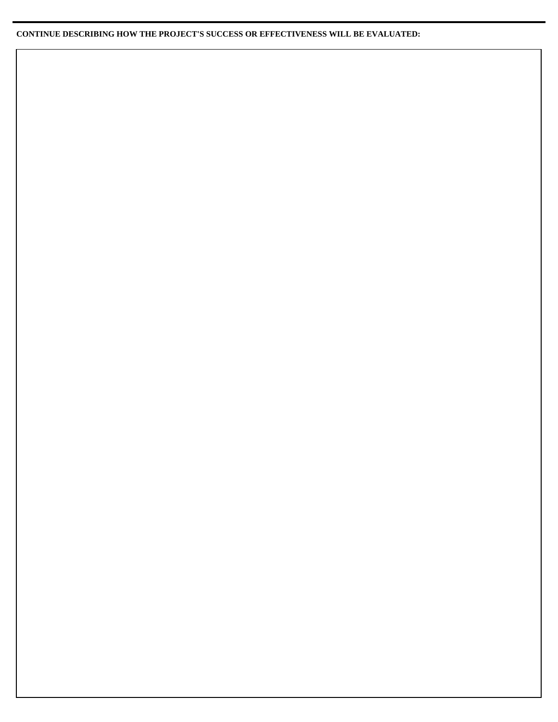### **CONTINUE DESCRIBING HOW THE PROJECT'S SUCCESS OR EFFECTIVENESS WILL BE EVALUATED:**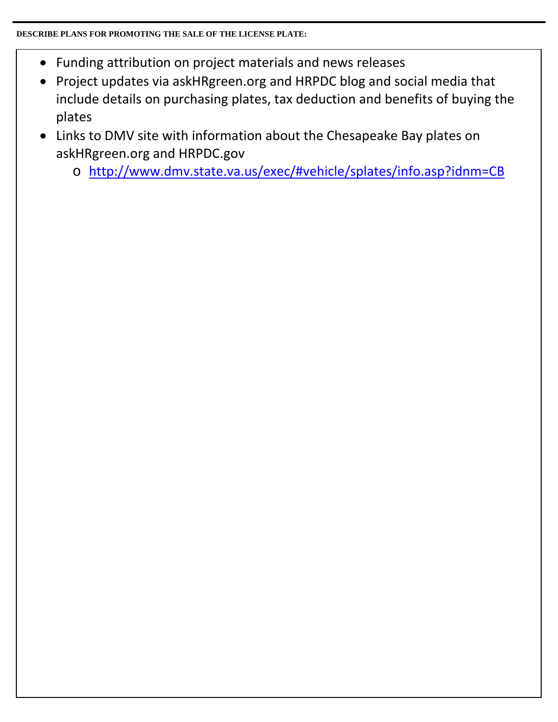## **DESCRIBE PLANS FOR PROMOTING THE SALE OF THE LICENSE PLATE:**

- Funding attribution on project materials and news releases
- Project updates via askHRgreen.org and HRPDC blog and social media that include details on purchasing plates, tax deduction and benefits of buying the plates
- Links to DMV site with information about the Chesapeake Bay plates on askHRgreen.org and HRPDC.gov
	- o <http://www.dmv.state.va.us/exec/#vehicle/splates/info.asp?idnm=CB>